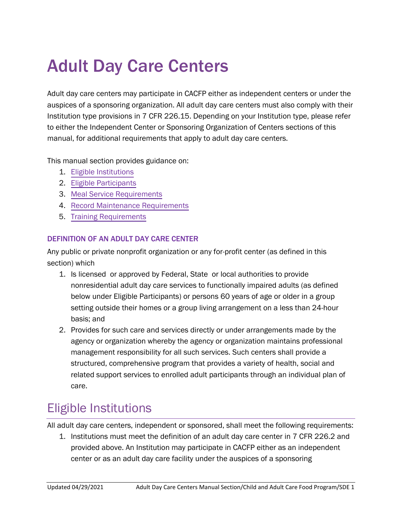# Adult Day Care Centers

Adult day care centers may participate in CACFP either as independent centers or under the auspices of a sponsoring organization. All adult day care centers must also comply with their Institution type provisions in 7 CFR 226.15. Depending on your Institution type, please refer to either the Independent Center or Sponsoring Organization of Centers sections of this manual, for additional requirements that apply to adult day care centers.

This manual section provides guidance on:

- 1. Eligible Institutions
- 2. Eligible [Participants](#page-3-0)
- 3. [Meal Service Requirements](#page-4-0)
- 4. [Record Maintenance Requirements](#page-6-0)
- 5. [Training Requirements](#page-7-0)

#### DEFINITION OF AN ADULT DAY CARE CENTER

Any public or private nonprofit organization or any for-profit center (as defined in this section) which

- 1. Is licensed or approved by Federal, State or local authorities to provide nonresidential adult day care services to functionally impaired adults (as defined below under Eligible Participants) or persons 60 years of age or older in a group setting outside their homes or a group living arrangement on a less than 24-hour basis; and
- 2. Provides for such care and services directly or under arrangements made by the agency or organization whereby the agency or organization maintains professional management responsibility for all such services. Such centers shall provide a structured, comprehensive program that provides a variety of health, social and related support services to enrolled adult participants through an individual plan of care.

### Eligible Institutions

All adult day care centers, independent or sponsored, shall meet the following requirements:

1. Institutions must meet the definition of an adult day care center in 7 CFR 226.2 and provided above. An Institution may participate in CACFP either as an independent center or as an adult day care facility under the auspices of a sponsoring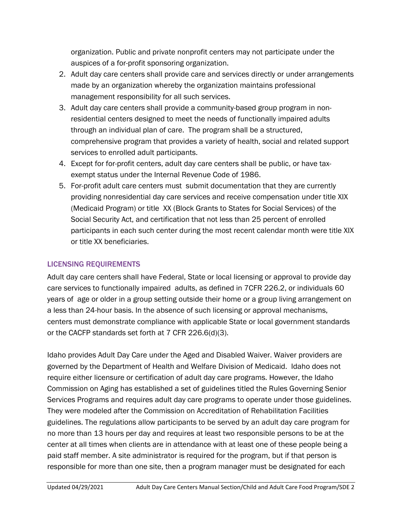organization. Public and private nonprofit centers may not participate under the auspices of a for-profit sponsoring organization.

- 2. Adult day care centers shall provide care and services directly or under arrangements made by an organization whereby the organization maintains professional management responsibility for all such services.
- 3. Adult day care centers shall provide a community-based group program in nonresidential centers designed to meet the needs of functionally impaired adults through an individual plan of care. The program shall be a structured, comprehensive program that provides a variety of health, social and related support services to enrolled adult participants.
- 4. Except for for-profit centers, adult day care centers shall be public, or have taxexempt status under the Internal Revenue Code of 1986.
- 5. For-profit adult care centers must submit documentation that they are currently providing nonresidential day care services and receive compensation under title XIX (Medicaid Program) or title XX (Block Grants to States for Social Services) of the Social Security Act, and certification that not less than 25 percent of enrolled participants in each such center during the most recent calendar month were title XIX or title XX beneficiaries.

#### LICENSING REQUIREMENTS

Adult day care centers shall have Federal, State or local licensing or approval to provide day care services to functionally impaired adults, as defined in 7CFR 226.2, or individuals 60 years of age or older in a group setting outside their home or a group living arrangement on a less than 24-hour basis. In the absence of such licensing or approval mechanisms, centers must demonstrate compliance with applicable State or local government standards or the CACFP standards set forth at 7 CFR 226.6(d)(3).

Idaho provides Adult Day Care under the Aged and Disabled Waiver. Waiver providers are governed by the Department of Health and Welfare Division of Medicaid. Idaho does not require either licensure or certification of adult day care programs. However, the Idaho Commission on Aging has established a set of guidelines titled the Rules Governing Senior Services Programs and requires adult day care programs to operate under those guidelines. They were modeled after the Commission on Accreditation of Rehabilitation Facilities guidelines. The regulations allow participants to be served by an adult day care program for no more than 13 hours per day and requires at least two responsible persons to be at the center at all times when clients are in attendance with at least one of these people being a paid staff member. A site administrator is required for the program, but if that person is responsible for more than one site, then a program manager must be designated for each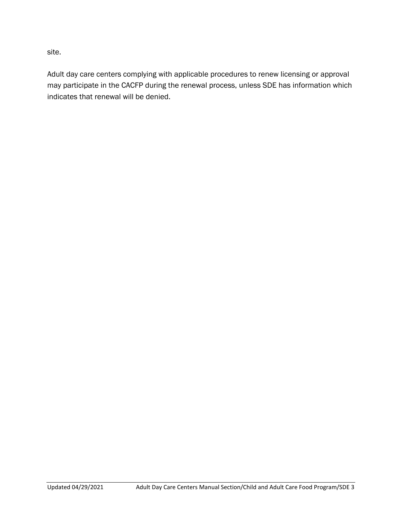site.

Adult day care centers complying with applicable procedures to renew licensing or approval may participate in the CACFP during the renewal process, unless SDE has information which indicates that renewal will be denied.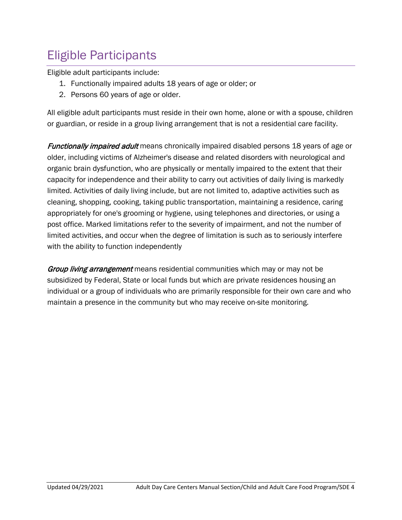# <span id="page-3-0"></span>Eligible Participants

Eligible adult participants include:

- 1. Functionally impaired adults 18 years of age or older; or
- 2. Persons 60 years of age or older.

All eligible adult participants must reside in their own home, alone or with a spouse, children or guardian, or reside in a group living arrangement that is not a residential care facility.

**Functionally impaired adult** means chronically impaired disabled persons 18 years of age or older, including victims of Alzheimer's disease and related disorders with neurological and organic brain dysfunction, who are physically or mentally impaired to the extent that their capacity for independence and their ability to carry out activities of daily living is markedly limited. Activities of daily living include, but are not limited to, adaptive activities such as cleaning, shopping, cooking, taking public transportation, maintaining a residence, caring appropriately for one's grooming or hygiene, using telephones and directories, or using a post office. Marked limitations refer to the severity of impairment, and not the number of limited activities, and occur when the degree of limitation is such as to seriously interfere with the ability to function independently

**Group living arrangement** means residential communities which may or may not be subsidized by Federal, State or local funds but which are private residences housing an individual or a group of individuals who are primarily responsible for their own care and who maintain a presence in the community but who may receive on-site monitoring.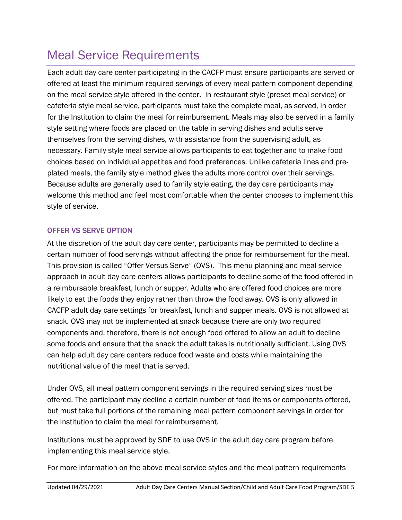# <span id="page-4-0"></span>Meal Service Requirements

Each adult day care center participating in the CACFP must ensure participants are served or offered at least the minimum required servings of every meal pattern component depending on the meal service style offered in the center. In restaurant style (preset meal service) or cafeteria style meal service, participants must take the complete meal, as served, in order for the Institution to claim the meal for reimbursement. Meals may also be served in a family style setting where foods are placed on the table in serving dishes and adults serve themselves from the serving dishes, with assistance from the supervising adult, as necessary. Family style meal service allows participants to eat together and to make food choices based on individual appetites and food preferences. Unlike cafeteria lines and preplated meals, the family style method gives the adults more control over their servings. Because adults are generally used to family style eating, the day care participants may welcome this method and feel most comfortable when the center chooses to implement this style of service.

#### OFFER VS SERVE OPTION

At the discretion of the adult day care center, participants may be permitted to decline a certain number of food servings without affecting the price for reimbursement for the meal. This provision is called "Offer Versus Serve" (OVS). This menu planning and meal service approach in adult day care centers allows participants to decline some of the food offered in a reimbursable breakfast, lunch or supper. Adults who are offered food choices are more likely to eat the foods they enjoy rather than throw the food away. OVS is only allowed in CACFP adult day care settings for breakfast, lunch and supper meals. OVS is not allowed at snack. OVS may not be implemented at snack because there are only two required components and, therefore, there is not enough food offered to allow an adult to decline some foods and ensure that the snack the adult takes is nutritionally sufficient. Using OVS can help adult day care centers reduce food waste and costs while maintaining the nutritional value of the meal that is served.

Under OVS, all meal pattern component servings in the required serving sizes must be offered. The participant may decline a certain number of food items or components offered, but must take full portions of the remaining meal pattern component servings in order for the Institution to claim the meal for reimbursement.

Institutions must be approved by SDE to use OVS in the adult day care program before implementing this meal service style.

For more information on the above meal service styles and the meal pattern requirements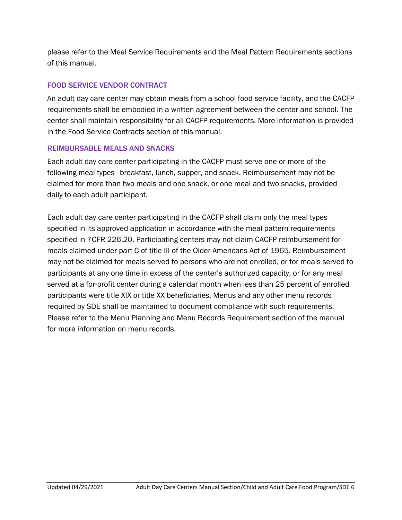please refer to the Meal Service Requirements and the Meal Pattern Requirements sections of this manual.

#### FOOD SERVICE VENDOR CONTRACT

An adult day care center may obtain meals from a school food service facility, and the CACFP requirements shall be embodied in a written agreement between the center and school. The center shall maintain responsibility for all CACFP requirements. More information is provided in the Food Service Contracts section of this manual.

#### REIMBURSABLE MEALS AND SNACKS

Each adult day care center participating in the CACFP must serve one or more of the following meal types—breakfast, lunch, supper, and snack. Reimbursement may not be claimed for more than two meals and one snack, or one meal and two snacks, provided daily to each adult participant.

Each adult day care center participating in the CACFP shall claim only the meal types specified in its approved application in accordance with the meal pattern requirements specified in 7CFR 226.20. Participating centers may not claim CACFP reimbursement for meals claimed under part C of title III of the Older Americans Act of 1965. Reimbursement may not be claimed for meals served to persons who are not enrolled, or for meals served to participants at any one time in excess of the center's authorized capacity, or for any meal served at a for-profit center during a calendar month when less than 25 percent of enrolled participants were title XIX or title XX beneficiaries. Menus and any other menu records required by SDE shall be maintained to document compliance with such requirements. Please refer to the Menu Planning and Menu Records Requirement section of the manual for more information on menu records.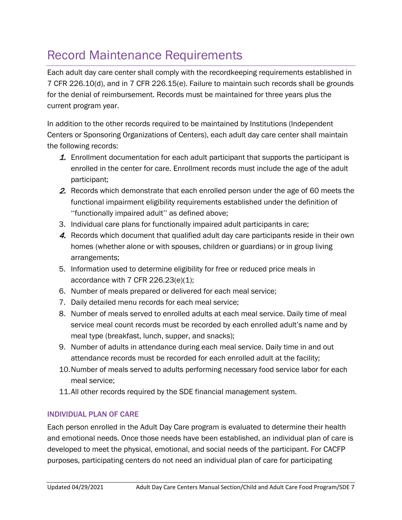## <span id="page-6-0"></span>Record Maintenance Requirements

Each adult day care center shall comply with the recordkeeping requirements established in 7 CFR 226.10(d), and in 7 CFR 226.15(e). Failure to maintain such records shall be grounds for the denial of reimbursement. Records must be maintained for three years plus the current program year.

In addition to the other records required to be maintained by Institutions (Independent Centers or Sponsoring Organizations of Centers), each adult day care center shall maintain the following records:

- **1.** Enrollment documentation for each adult participant that supports the participant is enrolled in the center for care. Enrollment records must include the age of the adult participant;
- 2. Records which demonstrate that each enrolled person under the age of 60 meets the functional impairment eligibility requirements established under the definition of ''functionally impaired adult'' as defined above;
- 3. Individual care plans for functionally impaired adult participants in care;
- 4. Records which document that qualified adult day care participants reside in their own homes (whether alone or with spouses, children or guardians) or in group living arrangements;
- 5. Information used to determine eligibility for free or reduced price meals in accordance with 7 CFR 226.23(e)(1);
- 6. Number of meals prepared or delivered for each meal service;
- 7. Daily detailed menu records for each meal service;
- 8. Number of meals served to enrolled adults at each meal service. Daily time of meal service meal count records must be recorded by each enrolled adult's name and by meal type (breakfast, lunch, supper, and snacks);
- 9. Number of adults in attendance during each meal service. Daily time in and out attendance records must be recorded for each enrolled adult at the facility;
- 10.Number of meals served to adults performing necessary food service labor for each meal service;
- 11.All other records required by the SDE financial management system.

#### INDIVIDUAL PLAN OF CARE

Each person enrolled in the Adult Day Care program is evaluated to determine their health and emotional needs. Once those needs have been established, an individual plan of care is developed to meet the physical, emotional, and social needs of the participant. For CACFP purposes, participating centers do not need an individual plan of care for participating